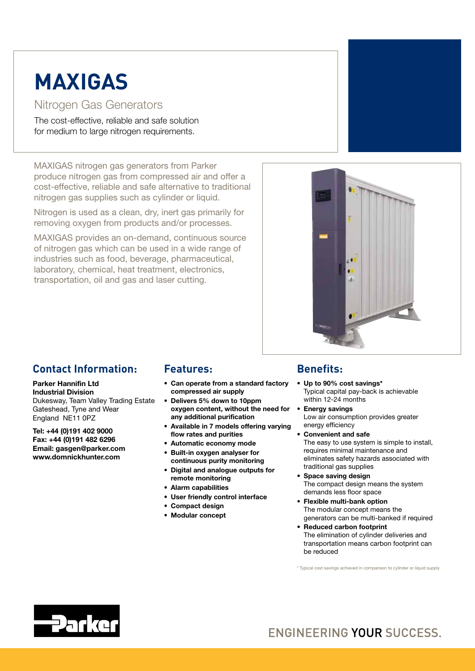# **MAXIGAS**

#### Nitrogen Gas Generators

The cost-effective, reliable and safe solution for medium to large nitrogen requirements.

MAXIGAS nitrogen gas generators from Parker produce nitrogen gas from compressed air and offer a cost-effective, reliable and safe alternative to traditional nitrogen gas supplies such as cylinder or liquid.

Nitrogen is used as a clean, dry, inert gas primarily for removing oxygen from products and/or processes.

MAXIGAS provides an on-demand, continuous source of nitrogen gas which can be used in a wide range of industries such as food, beverage, pharmaceutical, laboratory, chemical, heat treatment, electronics, transportation, oil and gas and laser cutting.



### **Contact Information:**

#### Parker Hannifin Ltd Industrial Division

Dukesway, Team Valley Trading Estate Gateshead, Tyne and Wear England NE11 0PZ

Tel: +44 (0)191 402 9000 Fax: +44 (0)191 482 6296 Email: gasgen@parker.com www.domnickhunter.com

#### **Features:**

- • Can operate from a standard factory compressed air supply
- Delivers 5% down to 10ppm oxygen content, without the need for any additional purification
- • Available in 7 models offering varying flow rates and purities
- • Automatic economy mode
- • Built-in oxygen analyser for continuous purity monitoring
- • Digital and analogue outputs for remote monitoring
- • Alarm capabilities
- • User friendly control interface
- • Compact design
- • Modular concept

### **Benefits:**

- Up to 90% cost savings\* Typical capital pay-back is achievable within 12-24 months
- Energy savings Low air consumption provides greater energy efficiency
	- Convenient and safe The easy to use system is simple to install, requires minimal maintenance and eliminates safety hazards associated with traditional gas supplies
- • Space saving design The compact design means the system demands less floor space
- • Flexible multi-bank option The modular concept means the generators can be multi-banked if required
- • Reduced carbon footprint The elimination of cylinder deliveries and transportation means carbon footprint can be reduced

\* Typical cost savings achieved in comparison to cylinder or liquid supply



## **ENGINEERING YOUR SUCCESS.**